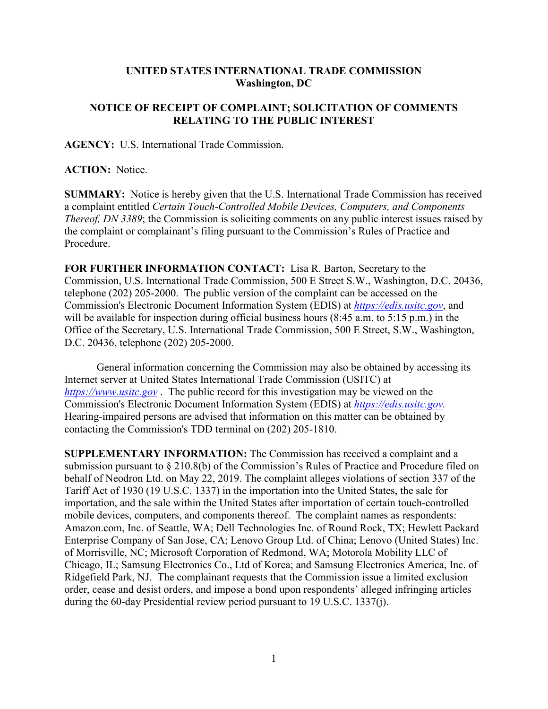## **UNITED STATES INTERNATIONAL TRADE COMMISSION Washington, DC**

## **NOTICE OF RECEIPT OF COMPLAINT; SOLICITATION OF COMMENTS RELATING TO THE PUBLIC INTEREST**

**AGENCY:** U.S. International Trade Commission.

**ACTION:** Notice.

**SUMMARY:** Notice is hereby given that the U.S. International Trade Commission has received a complaint entitled *Certain Touch-Controlled Mobile Devices, Computers, and Components Thereof, DN 3389*; the Commission is soliciting comments on any public interest issues raised by the complaint or complainant's filing pursuant to the Commission's Rules of Practice and Procedure.

**FOR FURTHER INFORMATION CONTACT:** Lisa R. Barton, Secretary to the Commission, U.S. International Trade Commission, 500 E Street S.W., Washington, D.C. 20436, telephone (202) 205-2000. The public version of the complaint can be accessed on the Commission's Electronic Document Information System (EDIS) at *[https://edis.usitc.gov](https://edis.usitc.gov/)*, and will be available for inspection during official business hours (8:45 a.m. to 5:15 p.m.) in the Office of the Secretary, U.S. International Trade Commission, 500 E Street, S.W., Washington, D.C. 20436, telephone (202) 205-2000.

General information concerning the Commission may also be obtained by accessing its Internet server at United States International Trade Commission (USITC) at *[https://www.usitc.gov](https://www.usitc.gov/)* . The public record for this investigation may be viewed on the Commission's Electronic Document Information System (EDIS) at *[https://edis.usitc.gov.](https://edis.usitc.gov/)* Hearing-impaired persons are advised that information on this matter can be obtained by contacting the Commission's TDD terminal on (202) 205-1810.

**SUPPLEMENTARY INFORMATION:** The Commission has received a complaint and a submission pursuant to § 210.8(b) of the Commission's Rules of Practice and Procedure filed on behalf of Neodron Ltd. on May 22, 2019. The complaint alleges violations of section 337 of the Tariff Act of 1930 (19 U.S.C. 1337) in the importation into the United States, the sale for importation, and the sale within the United States after importation of certain touch-controlled mobile devices, computers, and components thereof. The complaint names as respondents: Amazon.com, Inc. of Seattle, WA; Dell Technologies Inc. of Round Rock, TX; Hewlett Packard Enterprise Company of San Jose, CA; Lenovo Group Ltd. of China; Lenovo (United States) Inc. of Morrisville, NC; Microsoft Corporation of Redmond, WA; Motorola Mobility LLC of Chicago, IL; Samsung Electronics Co., Ltd of Korea; and Samsung Electronics America, Inc. of Ridgefield Park, NJ. The complainant requests that the Commission issue a limited exclusion order, cease and desist orders, and impose a bond upon respondents' alleged infringing articles during the 60-day Presidential review period pursuant to 19 U.S.C. 1337(j).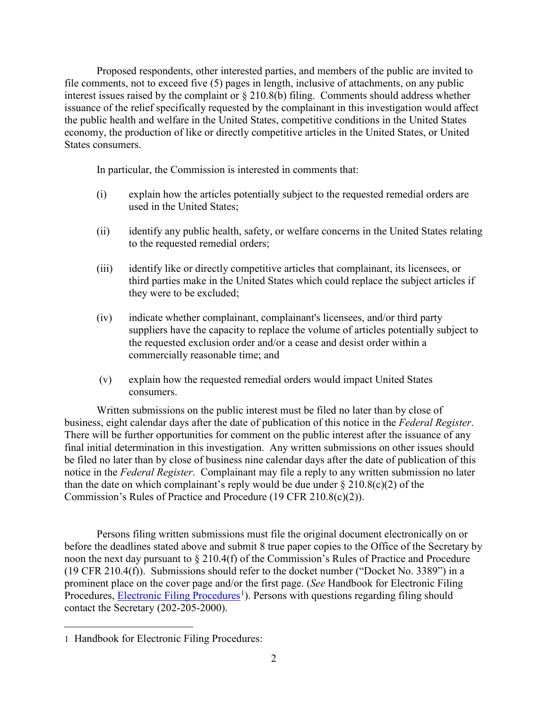Proposed respondents, other interested parties, and members of the public are invited to file comments, not to exceed five (5) pages in length, inclusive of attachments, on any public interest issues raised by the complaint or § 210.8(b) filing. Comments should address whether issuance of the relief specifically requested by the complainant in this investigation would affect the public health and welfare in the United States, competitive conditions in the United States economy, the production of like or directly competitive articles in the United States, or United States consumers.

In particular, the Commission is interested in comments that:

- (i) explain how the articles potentially subject to the requested remedial orders are used in the United States;
- (ii) identify any public health, safety, or welfare concerns in the United States relating to the requested remedial orders;
- (iii) identify like or directly competitive articles that complainant, its licensees, or third parties make in the United States which could replace the subject articles if they were to be excluded;
- (iv) indicate whether complainant, complainant's licensees, and/or third party suppliers have the capacity to replace the volume of articles potentially subject to the requested exclusion order and/or a cease and desist order within a commercially reasonable time; and
- (v) explain how the requested remedial orders would impact United States consumers.

Written submissions on the public interest must be filed no later than by close of business, eight calendar days after the date of publication of this notice in the *Federal Register*. There will be further opportunities for comment on the public interest after the issuance of any final initial determination in this investigation. Any written submissions on other issues should be filed no later than by close of business nine calendar days after the date of publication of this notice in the *Federal Register*. Complainant may file a reply to any written submission no later than the date on which complainant's reply would be due under  $\S 210.8(c)(2)$  of the Commission's Rules of Practice and Procedure (19 CFR 210.8(c)(2)).

Persons filing written submissions must file the original document electronically on or before the deadlines stated above and submit 8 true paper copies to the Office of the Secretary by noon the next day pursuant to § 210.4(f) of the Commission's Rules of Practice and Procedure (19 CFR 210.4(f)). Submissions should refer to the docket number ("Docket No. 3389") in a prominent place on the cover page and/or the first page. (*See* Handbook for Electronic Filing Procedures, *Electronic Filing Procedures*<sup>[1](#page-1-0)</sup>). Persons with questions regarding filing should contact the Secretary (202-205-2000).

<span id="page-1-0"></span> $\overline{a}$ 1 Handbook for Electronic Filing Procedures: